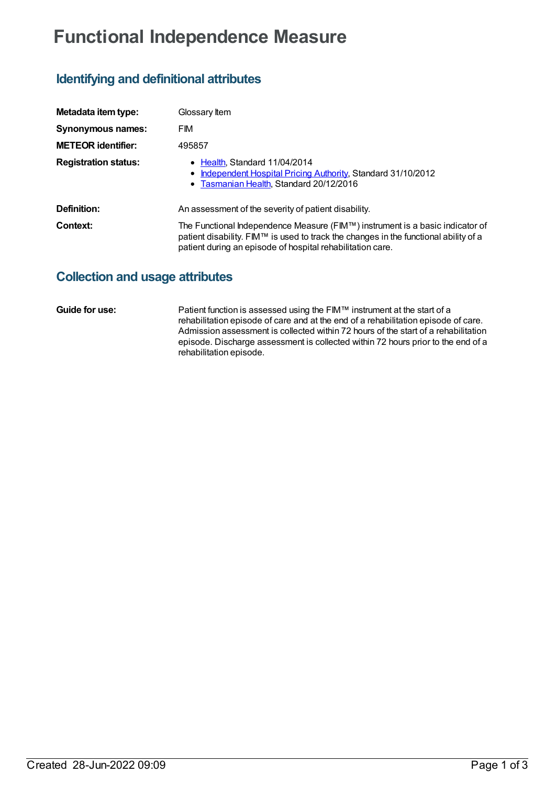# **Functional Independence Measure**

## **Identifying and definitional attributes**

| Metadata item type:         | Glossary Item                                                                                                                                                                                                                                                          |
|-----------------------------|------------------------------------------------------------------------------------------------------------------------------------------------------------------------------------------------------------------------------------------------------------------------|
| <b>Synonymous names:</b>    | <b>FIM</b>                                                                                                                                                                                                                                                             |
| <b>METEOR identifier:</b>   | 495857                                                                                                                                                                                                                                                                 |
| <b>Registration status:</b> | • Health Standard 11/04/2014<br>• Independent Hospital Pricing Authority, Standard 31/10/2012<br>• Tasmanian Health, Standard 20/12/2016                                                                                                                               |
| Definition:                 | An assessment of the severity of patient disability.                                                                                                                                                                                                                   |
| Context:                    | The Functional Independence Measure (FIM™) instrument is a basic indicator of<br>patient disability. FIM <sup><math>\mathsf{TM}</math></sup> is used to track the changes in the functional ability of a<br>patient during an episode of hospital rehabilitation care. |

### **Collection and usage attributes**

**Guide for use:** Patient function is assessed using the FIM™ instrument at the start of a rehabilitation episode of care and at the end of a rehabilitation episode of care. Admission assessment is collected within 72 hours of the start of a rehabilitation episode. Discharge assessment is collected within 72 hours prior to the end of a rehabilitation episode.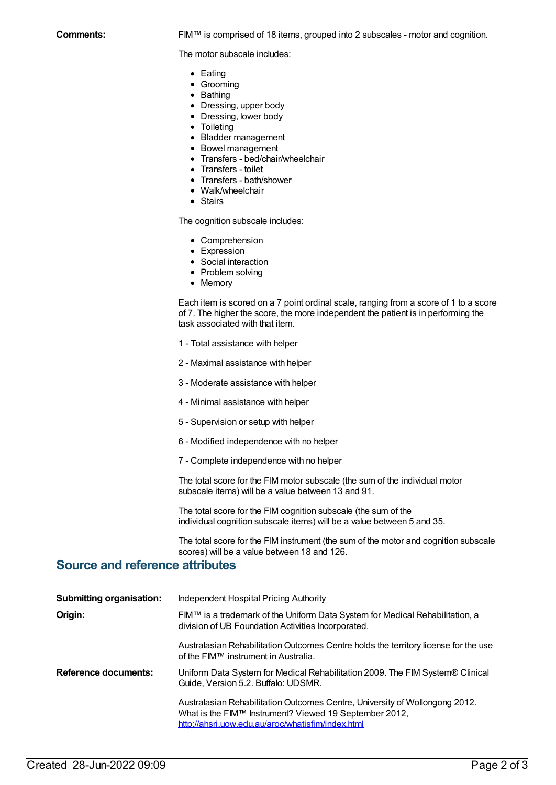The motor subscale includes:

- Eating
- Grooming
- Bathing
- Dressing, upper body
- Dressing, lower body
- Toileting
- Bladder management
- Bowel management
- Transfers bed/chair/wheelchair
- Transfers toilet
- Transfers bath/shower
- Walk/wheelchair
- Stairs

The cognition subscale includes:

- Comprehension
- Expression
- Social interaction
- Problem solving
- Memory

Each item is scored on a 7 point ordinal scale, ranging from a score of 1 to a score of 7. The higher the score, the more independent the patient is in performing the task associated with that item.

- 1 Total assistance with helper
- 2 Maximal assistance with helper
- 3 Moderate assistance with helper
- 4 Minimal assistance with helper
- 5 Supervision or setup with helper
- 6 Modified independence with no helper
- 7 Complete independence with no helper

The total score for the FIM motor subscale (the sum of the individual motor subscale items) will be a value between 13 and 91.

The total score for the FIM cognition subscale (the sum of the individual cognition subscale items) will be a value between 5 and 35.

The total score for the FIM instrument (the sum of the motor and cognition subscale scores) will be a value between 18 and 126.

#### **Source and reference attributes**

| <b>Submitting organisation:</b> | Independent Hospital Pricing Authority                                                                                                                                                     |
|---------------------------------|--------------------------------------------------------------------------------------------------------------------------------------------------------------------------------------------|
| Origin:                         | FIM™ is a trademark of the Uniform Data System for Medical Rehabilitation, a<br>division of UB Foundation Activities Incorporated.                                                         |
|                                 | Australasian Rehabilitation Outcomes Centre holds the territory license for the use<br>of the FIM™ instrument in Australia.                                                                |
| <b>Reference documents:</b>     | Uniform Data System for Medical Rehabilitation 2009. The FIM System® Clinical<br>Guide, Version 5.2. Buffalo: UDSMR.                                                                       |
|                                 | Australasian Rehabilitation Outcomes Centre, University of Wollongong 2012.<br>What is the FIM™ Instrument? Viewed 19 September 2012,<br>http://ahsri.uow.edu.au/aroc/whatisfim/index.html |